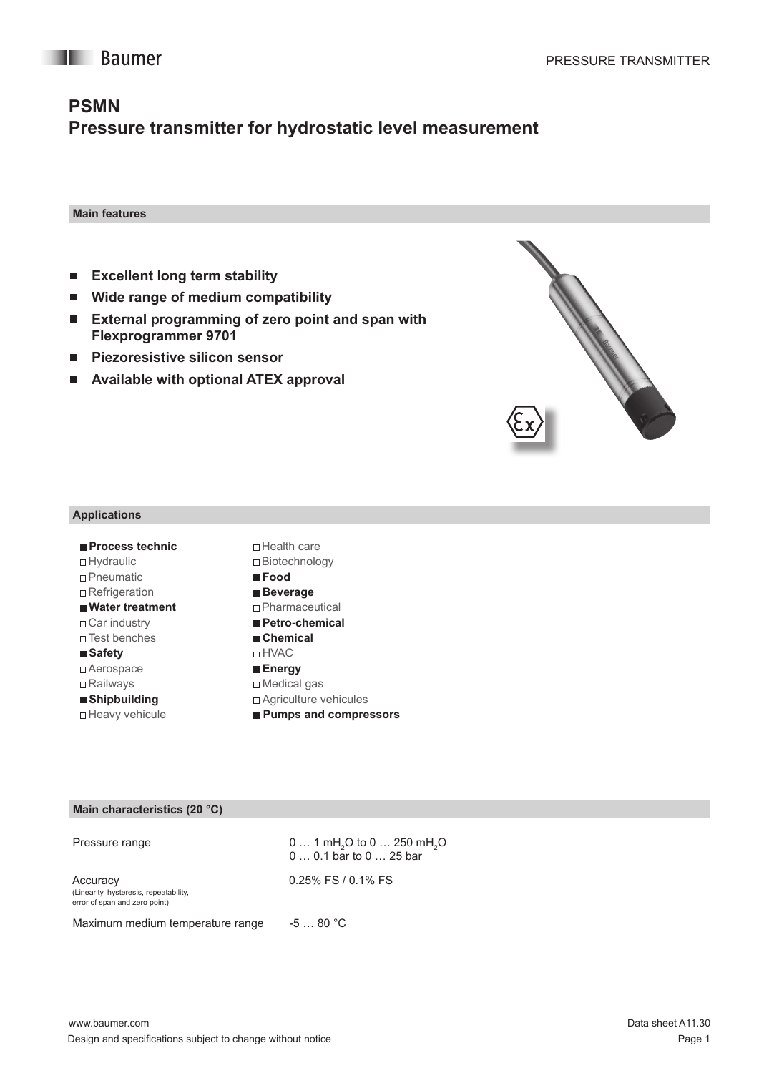# **PSMN Pressure transmitter for hydrostatic level measurement**

**Main features**

- **Excellent long term stability**  $\mathcal{L}_{\mathcal{A}}$
- **Wide range of medium compatibility**   $\overline{\phantom{a}}$
- **External programming of zero point and span with Flexprogrammer 9701**
- **Piezoresistive silicon sensor**  $\overline{\phantom{a}}$
- **Available with optional ATEX approval**П



#### **Applications**

| ■ Process technic<br>$\Box$ Hydraulic | □ Health care<br>□ Biotechnology |
|---------------------------------------|----------------------------------|
| $\sqcap$ Pneumatic                    | $\blacksquare$ Food              |
| $\Box$ Refrigeration                  | ■ Beverage                       |
| ■ Water treatment                     | $\Box$ Pharmaceutical            |
| $\Box$ Car industry                   | ■ Petro-chemical                 |
| $\sqcap$ Test benches                 | ■ Chemical                       |
| ■ Safety                              | ⊓ HVAC                           |
| $\Box$ Aerospace                      | ■ Energy                         |
| $\Box$ Railways                       | $\Box$ Medical gas               |
| ■ Shipbuilding                        | $\Box$ Agriculture vehicules     |
| □ Heavy vehicule                      | ■ Pumps and compressors          |

### **Main characteristics (20 °C)**

| Pressure range                                                                      | $0 1$ mH <sub>2</sub> O to $0 250$ mH <sub>2</sub> O<br>$00.1$ bar to $025$ bar |
|-------------------------------------------------------------------------------------|---------------------------------------------------------------------------------|
| Accuracy<br>(Linearity, hysteresis, repeatability,<br>error of span and zero point) | $0.25\%$ FS / 0.1% FS                                                           |
| Maximum medium temperature range                                                    | $-580 °C$                                                                       |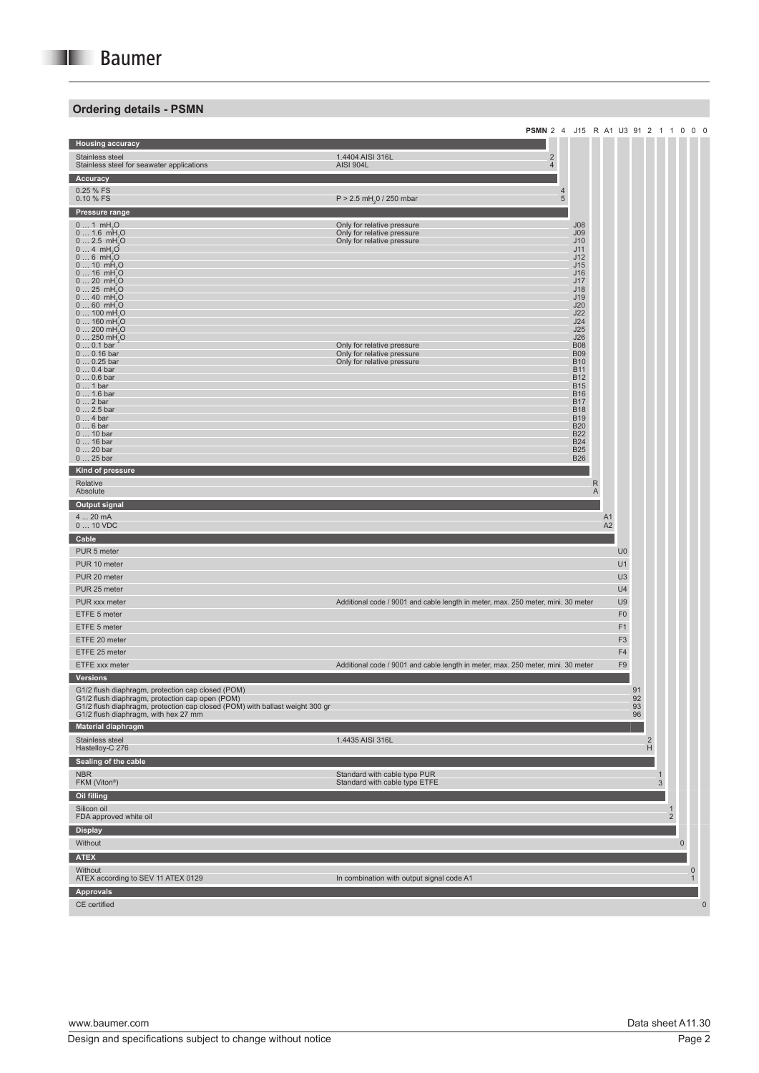# **Ordering details - PSMN**

|                                                                                                      | PSMN 2 4 J15 R A1 U3 91 2 1 1 0 0 0                                              |                          |   |                |                |          |                |                     |                     |                     |             |
|------------------------------------------------------------------------------------------------------|----------------------------------------------------------------------------------|--------------------------|---|----------------|----------------|----------|----------------|---------------------|---------------------|---------------------|-------------|
| <b>Housing accuracy</b>                                                                              |                                                                                  |                          |   |                |                |          |                |                     |                     |                     |             |
| Stainless steel                                                                                      | $\overline{\mathbf{c}}$<br>1.4404 AISI 316L                                      |                          |   |                |                |          |                |                     |                     |                     |             |
| Stainless steel for seawater applications                                                            | $\overline{4}$<br><b>AISI 904L</b>                                               |                          |   |                |                |          |                |                     |                     |                     |             |
| Accuracy                                                                                             |                                                                                  |                          |   |                |                |          |                |                     |                     |                     |             |
| 0.25 % FS                                                                                            | 4                                                                                |                          |   |                |                |          |                |                     |                     |                     |             |
| 0.10 % FS                                                                                            | $P > 2.5$ mH <sub>2</sub> 0 / 250 mbar<br>5                                      |                          |   |                |                |          |                |                     |                     |                     |             |
| Pressure range                                                                                       |                                                                                  |                          |   |                |                |          |                |                     |                     |                     |             |
| $01$ mH <sub>2</sub> O                                                                               | Only for relative pressure                                                       | J08                      |   |                |                |          |                |                     |                     |                     |             |
| $0 1.6$ mH <sub>2</sub> O<br>$0 2.5$ mH <sub>2</sub> O                                               | Only for relative pressure<br>Only for relative pressure                         | J <sub>09</sub><br>J10   |   |                |                |          |                |                     |                     |                     |             |
| $04$ mH <sub>2</sub> O                                                                               |                                                                                  | J11                      |   |                |                |          |                |                     |                     |                     |             |
| $06$ mH <sub>2</sub> O<br>$010$ mH <sub>2</sub> O                                                    |                                                                                  | J12<br>J15               |   |                |                |          |                |                     |                     |                     |             |
| $016$ mH <sub>2</sub> O                                                                              |                                                                                  | J16                      |   |                |                |          |                |                     |                     |                     |             |
| $020$ mH <sub>2</sub> O                                                                              |                                                                                  | J17                      |   |                |                |          |                |                     |                     |                     |             |
| $025$ mH <sub>2</sub> O<br>$040$ mH <sub>2</sub> O                                                   |                                                                                  | J18<br>J19               |   |                |                |          |                |                     |                     |                     |             |
| $060$ mH <sub>2</sub> O                                                                              |                                                                                  | J20                      |   |                |                |          |                |                     |                     |                     |             |
| $0100$ mH <sub>2</sub> O<br>$0160$ mH <sub>2</sub> O                                                 |                                                                                  | J22<br>J24               |   |                |                |          |                |                     |                     |                     |             |
| $0200$ mH <sub>2</sub> O                                                                             |                                                                                  | J25                      |   |                |                |          |                |                     |                     |                     |             |
| $0250$ mH <sub>2</sub> O<br>$00.1$ bar                                                               | Only for relative pressure                                                       | J26<br><b>B08</b>        |   |                |                |          |                |                     |                     |                     |             |
| $00.16$ bar                                                                                          | Only for relative pressure                                                       | <b>B09</b>               |   |                |                |          |                |                     |                     |                     |             |
| $00.25$ bar<br>$00.4$ bar                                                                            | Only for relative pressure                                                       | <b>B10</b><br><b>B11</b> |   |                |                |          |                |                     |                     |                     |             |
| $00.6$ bar                                                                                           |                                                                                  | <b>B12</b>               |   |                |                |          |                |                     |                     |                     |             |
| $01$ bar                                                                                             |                                                                                  | <b>B15</b>               |   |                |                |          |                |                     |                     |                     |             |
| $0 1.6$ bar<br>$02$ bar                                                                              |                                                                                  | <b>B16</b><br><b>B17</b> |   |                |                |          |                |                     |                     |                     |             |
| $0 2.5$ bar                                                                                          |                                                                                  | <b>B18</b>               |   |                |                |          |                |                     |                     |                     |             |
| $04$ bar<br>$06$ bar                                                                                 |                                                                                  | <b>B19</b><br><b>B20</b> |   |                |                |          |                |                     |                     |                     |             |
| $010$ bar                                                                                            |                                                                                  | <b>B22</b>               |   |                |                |          |                |                     |                     |                     |             |
| 0  16 bar<br>$020$ bar                                                                               |                                                                                  | <b>B24</b><br><b>B25</b> |   |                |                |          |                |                     |                     |                     |             |
| $025$ bar                                                                                            |                                                                                  | <b>B26</b>               |   |                |                |          |                |                     |                     |                     |             |
| Kind of pressure                                                                                     |                                                                                  |                          |   |                |                |          |                |                     |                     |                     |             |
| Relative                                                                                             |                                                                                  |                          | R |                |                |          |                |                     |                     |                     |             |
| Absolute                                                                                             |                                                                                  |                          | Α |                |                |          |                |                     |                     |                     |             |
| <b>Output signal</b>                                                                                 |                                                                                  |                          |   |                |                |          |                |                     |                     |                     |             |
| 4  20 mA                                                                                             |                                                                                  |                          |   | A <sub>1</sub> |                |          |                |                     |                     |                     |             |
| $010$ VDC                                                                                            |                                                                                  |                          |   | A <sub>2</sub> |                |          |                |                     |                     |                     |             |
| Cable                                                                                                |                                                                                  |                          |   |                |                |          |                |                     |                     |                     |             |
| PUR 5 meter                                                                                          |                                                                                  |                          |   |                | U <sub>0</sub> |          |                |                     |                     |                     |             |
| PUR 10 meter                                                                                         |                                                                                  |                          |   |                | U1             |          |                |                     |                     |                     |             |
| PUR 20 meter                                                                                         |                                                                                  |                          |   |                | U <sub>3</sub> |          |                |                     |                     |                     |             |
| PUR 25 meter                                                                                         |                                                                                  |                          |   |                | U4             |          |                |                     |                     |                     |             |
| PUR xxx meter                                                                                        | Additional code / 9001 and cable length in meter, max. 250 meter, mini. 30 meter |                          |   |                | U9             |          |                |                     |                     |                     |             |
| ETFE 5 meter                                                                                         |                                                                                  |                          |   |                | F <sub>0</sub> |          |                |                     |                     |                     |             |
| ETFE 5 meter                                                                                         |                                                                                  |                          |   |                | F <sub>1</sub> |          |                |                     |                     |                     |             |
|                                                                                                      |                                                                                  |                          |   |                |                |          |                |                     |                     |                     |             |
| ETFE 20 meter                                                                                        |                                                                                  |                          |   |                | F <sub>3</sub> |          |                |                     |                     |                     |             |
| ETFE 25 meter                                                                                        |                                                                                  |                          |   |                | F4             |          |                |                     |                     |                     |             |
| ETFE xxx meter                                                                                       | Additional code / 9001 and cable length in meter, max. 250 meter, mini. 30 meter |                          |   |                | F9             |          |                |                     |                     |                     |             |
| <b>Versions</b>                                                                                      |                                                                                  |                          |   |                |                |          |                |                     |                     |                     |             |
| G1/2 flush diaphragm, protection cap closed (POM)<br>G1/2 flush diaphragm, protection cap open (POM) |                                                                                  |                          |   |                |                | 91<br>92 |                |                     |                     |                     |             |
| G1/2 flush diaphragm, protection cap closed (POM) with ballast weight 300 gr                         |                                                                                  |                          |   |                |                | 93       |                |                     |                     |                     |             |
| G1/2 flush diaphragm, with hex 27 mm                                                                 |                                                                                  |                          |   |                |                | 96       |                |                     |                     |                     |             |
| <b>Material diaphragm</b>                                                                            |                                                                                  |                          |   |                |                |          |                |                     |                     |                     |             |
| Stainless steel                                                                                      | 1.4435 AISI 316L                                                                 |                          |   |                |                |          | $\overline{2}$ |                     |                     |                     |             |
| Hastelloy-C 276                                                                                      |                                                                                  |                          |   |                |                |          | H              |                     |                     |                     |             |
| Sealing of the cable                                                                                 |                                                                                  |                          |   |                |                |          |                |                     |                     |                     |             |
| <b>NBR</b><br>FKM (Viton®)                                                                           | Standard with cable type PUR<br>Standard with cable type ETFE                    |                          |   |                |                |          | $\mathbf{1}$   |                     |                     |                     |             |
|                                                                                                      |                                                                                  |                          |   |                |                |          |                | 3                   |                     |                     |             |
| Oil filling                                                                                          |                                                                                  |                          |   |                |                |          |                |                     |                     |                     |             |
| Silicon oil<br>FDA approved white oil                                                                |                                                                                  |                          |   |                |                |          |                | 1<br>$\overline{2}$ |                     |                     |             |
|                                                                                                      |                                                                                  |                          |   |                |                |          |                |                     |                     |                     |             |
| <b>Display</b>                                                                                       |                                                                                  |                          |   |                |                |          |                |                     |                     |                     |             |
| Without                                                                                              |                                                                                  |                          |   |                |                |          |                |                     | $\mathsf{O}\xspace$ |                     |             |
| <b>ATEX</b>                                                                                          |                                                                                  |                          |   |                |                |          |                |                     |                     |                     |             |
| Without                                                                                              |                                                                                  |                          |   |                |                |          |                |                     |                     | $\mathsf{O}\xspace$ |             |
| ATEX according to SEV 11 ATEX 0129                                                                   | In combination with output signal code A1                                        |                          |   |                |                |          |                |                     |                     | 1                   |             |
| <b>Approvals</b>                                                                                     |                                                                                  |                          |   |                |                |          |                |                     |                     |                     |             |
| CE certified                                                                                         |                                                                                  |                          |   |                |                |          |                |                     |                     |                     | $\mathbf 0$ |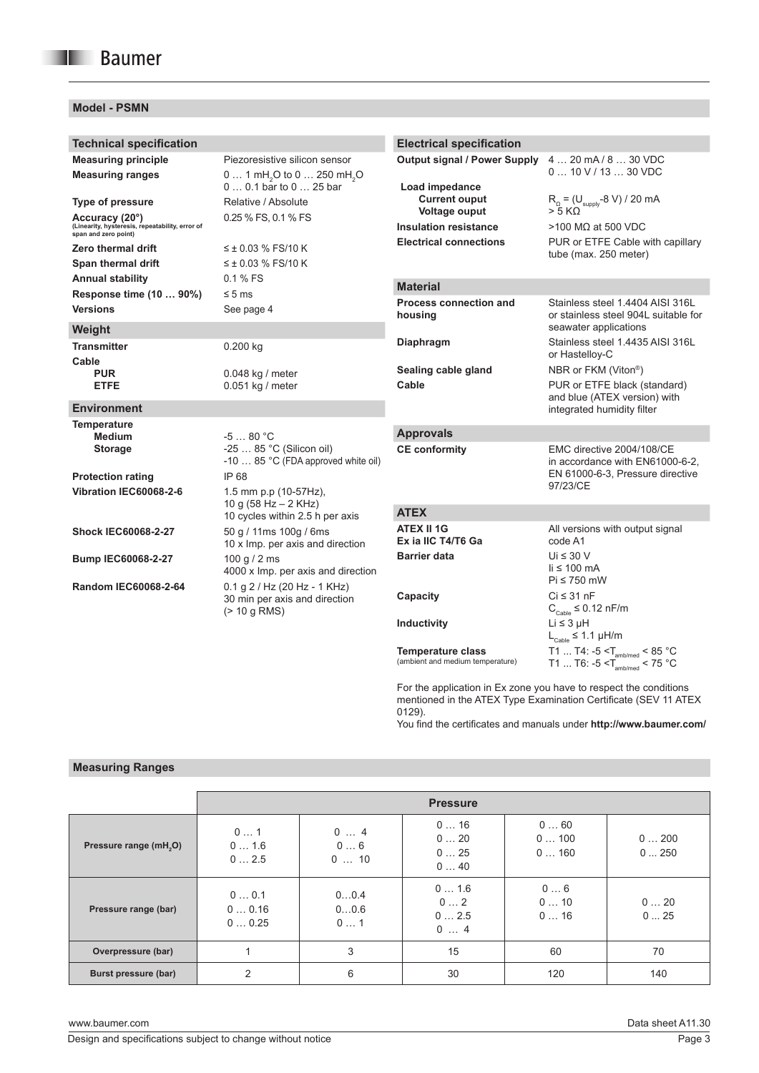# **Model - PSMN**

| <b>Technical specification</b>                                                                                                                                                                                            |                                                                                                                                                                                                                   | <b>Electrical specification</b>                                                                                                                                 |                                                                                                                                                                                                                                                                                                                                                                                                 |  |  |  |  |
|---------------------------------------------------------------------------------------------------------------------------------------------------------------------------------------------------------------------------|-------------------------------------------------------------------------------------------------------------------------------------------------------------------------------------------------------------------|-----------------------------------------------------------------------------------------------------------------------------------------------------------------|-------------------------------------------------------------------------------------------------------------------------------------------------------------------------------------------------------------------------------------------------------------------------------------------------------------------------------------------------------------------------------------------------|--|--|--|--|
| <b>Measuring principle</b><br><b>Measuring ranges</b><br><b>Type of pressure</b><br>Accuracy (20°)<br>(Linearity, hysteresis, repeatability, error of<br>span and zero point)<br>Zero thermal drift<br>Span thermal drift | Piezoresistive silicon sensor<br>0  1 mH <sub>2</sub> O to 0  250 mH <sub>2</sub> O<br>0  0.1 bar to 0  25 bar<br>Relative / Absolute<br>0.25 % FS, 0.1 % FS<br>$\leq \pm 0.03$ % FS/10 K<br>$≤$ ± 0.03 % FS/10 K | <b>Output signal / Power Supply</b><br>Load impedance<br><b>Current ouput</b><br>Voltage ouput<br><b>Insulation resistance</b><br><b>Electrical connections</b> | 4  20 mA / 8  30 VDC<br>$010$ V / 13 $30$ VDC<br>$R_0 = (U_{\text{supply}} - 8 \text{ V}) / 20 \text{ mA}$<br>> 5 KΩ<br>$>$ 100 MΩ at 500 VDC<br>PUR or ETFE Cable with capillary<br>tube (max. 250 meter)                                                                                                                                                                                      |  |  |  |  |
| <b>Annual stability</b><br>Response time (10  90%)                                                                                                                                                                        | 0.1 % FS<br>$\leq 5$ ms                                                                                                                                                                                           | <b>Material</b>                                                                                                                                                 |                                                                                                                                                                                                                                                                                                                                                                                                 |  |  |  |  |
| <b>Versions</b>                                                                                                                                                                                                           | See page 4                                                                                                                                                                                                        | <b>Process connection and</b><br>housing                                                                                                                        | Stainless steel 1.4404 AISI 316L<br>or stainless steel 904L suitable for                                                                                                                                                                                                                                                                                                                        |  |  |  |  |
| Weight<br><b>Transmitter</b><br>Cable                                                                                                                                                                                     | $0.200$ kg                                                                                                                                                                                                        | Diaphragm                                                                                                                                                       | seawater applications<br>Stainless steel 1.4435 AISI 316L<br>or Hastelloy-C                                                                                                                                                                                                                                                                                                                     |  |  |  |  |
| <b>PUR</b><br><b>ETFE</b>                                                                                                                                                                                                 | 0.048 kg / meter<br>0.051 kg / meter                                                                                                                                                                              | Sealing cable gland<br>Cable                                                                                                                                    | NBR or FKM (Viton®)<br>PUR or ETFE black (standard)<br>and blue (ATEX version) with                                                                                                                                                                                                                                                                                                             |  |  |  |  |
| <b>Environment</b>                                                                                                                                                                                                        |                                                                                                                                                                                                                   |                                                                                                                                                                 | integrated humidity filter                                                                                                                                                                                                                                                                                                                                                                      |  |  |  |  |
| <b>Temperature</b><br><b>Medium</b><br><b>Storage</b><br><b>Protection rating</b><br>Vibration IEC60068-2-6                                                                                                               | $-580 °C$<br>-25  85 °C (Silicon oil)<br>-10  85 °C (FDA approved white oil)<br>IP 68<br>1.5 mm p.p (10-57Hz),<br>10 g $(58 Hz - 2 KHz)$                                                                          | <b>Approvals</b><br><b>CE conformity</b>                                                                                                                        | EMC directive 2004/108/CE<br>in accordance with EN61000-6-2.<br>EN 61000-6-3, Pressure directive<br>97/23/CE                                                                                                                                                                                                                                                                                    |  |  |  |  |
|                                                                                                                                                                                                                           | 10 cycles within 2.5 h per axis                                                                                                                                                                                   | <b>ATEX</b>                                                                                                                                                     |                                                                                                                                                                                                                                                                                                                                                                                                 |  |  |  |  |
| <b>Shock IEC60068-2-27</b>                                                                                                                                                                                                | 50 g / 11ms 100g / 6ms<br>10 x Imp. per axis and direction                                                                                                                                                        | <b>ATEX II 1G</b><br>Ex ia IIC T4/T6 Ga                                                                                                                         | All versions with output signal<br>code A1                                                                                                                                                                                                                                                                                                                                                      |  |  |  |  |
| <b>Bump IEC60068-2-27</b>                                                                                                                                                                                                 | 100 g $/$ 2 ms<br>4000 x Imp. per axis and direction                                                                                                                                                              | <b>Barrier data</b>                                                                                                                                             | Ui $\leq 30$ V<br>$\mathsf{li} \leq 100 \mathsf{mA}$                                                                                                                                                                                                                                                                                                                                            |  |  |  |  |
| Random IEC60068-2-64                                                                                                                                                                                                      | $0.1$ g $2$ / Hz (20 Hz - 1 KHz)<br>30 min per axis and direction<br>$(> 10$ g RMS)                                                                                                                               | Capacity<br>Inductivity<br><b>Temperature class</b><br>(ambient and medium temperature)                                                                         | Pi ≤ 750 mW<br>$Ci \leq 31$ nF<br>$C_{\text{Cable}} \leq 0.12 \text{ nF/m}$<br>$Li \leq 3 \mu H$<br>$\mathsf{L}_{\mathsf{Cable}} \leq 1.1\ \mu\mathsf{H/m}$<br>$\begin{array}{l} \mathsf{T1}~~\mathsf{T4}\colon\text{-5}\leq\text{T}_{\mathsf{amb/med}}<85\text{ }^\circ\text{C}\\ \mathsf{T1}~~\mathsf{T6}\colon\text{-5}\leq\text{T}_{\mathsf{amb/med}}<75\text{ }^\circ\text{C} \end{array}$ |  |  |  |  |
|                                                                                                                                                                                                                           |                                                                                                                                                                                                                   |                                                                                                                                                                 |                                                                                                                                                                                                                                                                                                                                                                                                 |  |  |  |  |

For the application in Ex zone you have to respect the conditions mentioned in the ATEX Type Examination Certificate (SEV 11 ATEX 0129).

You find the certificates and manuals under **http://www.baumer.com/**

#### **Measuring Ranges**

|                                    |                        |                    | <b>Pressure</b>          |                     |              |
|------------------------------------|------------------------|--------------------|--------------------------|---------------------|--------------|
| Pressure range (mH <sub>2</sub> O) | 01<br>01.6<br>02.5     | 04<br>06<br>010    | 016<br>020<br>025<br>040 | 060<br>0100<br>0160 | 0200<br>0250 |
| Pressure range (bar)               | 00.1<br>00.16<br>00.25 | 00.4<br>00.6<br>01 | 01.6<br>02<br>02.5<br>04 | 06<br>010<br>016    | 020<br>025   |
| Overpressure (bar)                 |                        | 3                  | 15                       | 60                  | 70           |
| Burst pressure (bar)               | $\mathcal{P}$          | 6                  | 30                       | 120                 | 140          |